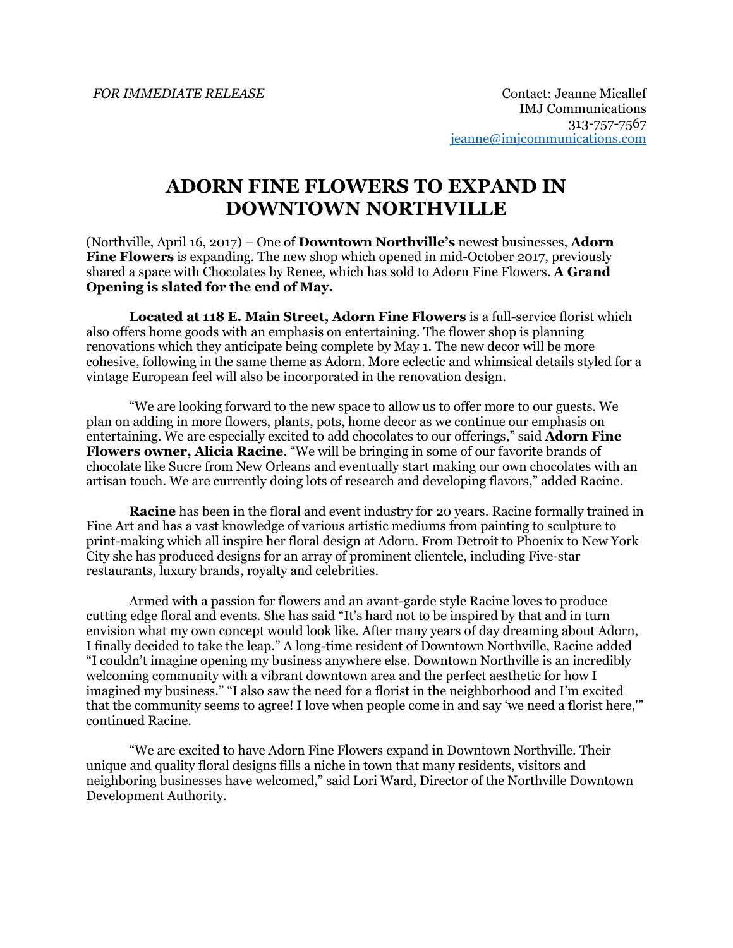## **ADORN FINE FLOWERS TO EXPAND IN DOWNTOWN NORTHVILLE**

(Northville, April 16, 2017) – One of **Downtown Northville's** newest businesses, **Adorn Fine Flowers** is expanding. The new shop which opened in mid-October 2017, previously shared a space with Chocolates by Renee, which has sold to Adorn Fine Flowers. **A Grand Opening is slated for the end of May.**

**Located at 118 E. Main Street, Adorn Fine Flowers** is a full-service florist which also offers home goods with an emphasis on entertaining. The flower shop is planning renovations which they anticipate being complete by May 1. The new decor will be more cohesive, following in the same theme as Adorn. More eclectic and whimsical details styled for a vintage European feel will also be incorporated in the renovation design.

"We are looking forward to the new space to allow us to offer more to our guests. We plan on adding in more flowers, plants, pots, home decor as we continue our emphasis on entertaining. We are especially excited to add chocolates to our offerings," said **Adorn Fine Flowers owner, Alicia Racine**. "We will be bringing in some of our favorite brands of chocolate like Sucre from New Orleans and eventually start making our own chocolates with an artisan touch. We are currently doing lots of research and developing flavors," added Racine.

**Racine** has been in the floral and event industry for 20 years. Racine formally trained in Fine Art and has a vast knowledge of various artistic mediums from painting to sculpture to print-making which all inspire her floral design at Adorn. From Detroit to Phoenix to New York City she has produced designs for an array of prominent clientele, including Five-star restaurants, luxury brands, royalty and celebrities.

Armed with a passion for flowers and an avant-garde style Racine loves to produce cutting edge floral and events. She has said "It's hard not to be inspired by that and in turn envision what my own concept would look like. After many years of day dreaming about Adorn, I finally decided to take the leap." A long-time resident of Downtown Northville, Racine added "I couldn't imagine opening my business anywhere else. Downtown Northville is an incredibly welcoming community with a vibrant downtown area and the perfect aesthetic for how I imagined my business." "I also saw the need for a florist in the neighborhood and I'm excited that the community seems to agree! I love when people come in and say 'we need a florist here,'" continued Racine.

"We are excited to have Adorn Fine Flowers expand in Downtown Northville. Their unique and quality floral designs fills a niche in town that many residents, visitors and neighboring businesses have welcomed," said Lori Ward, Director of the Northville Downtown Development Authority.